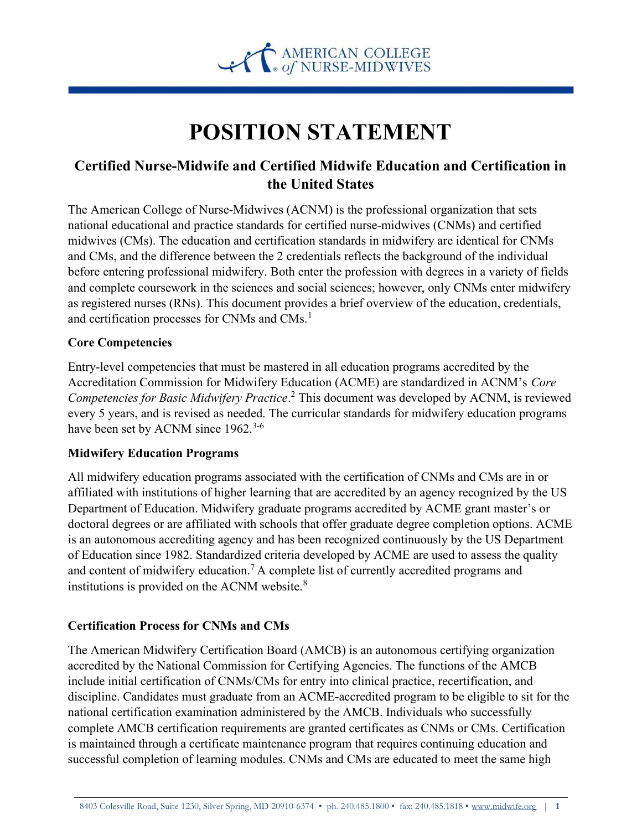

# POSITION STATEMENT

# Certified Nurse-Midwife and Certified Midwife Education and Certification in the United States

The American College of Nurse-Midwives (ACNM) is the professional organization that sets national educational and practice standards for certified nurse-midwives (CNMs) and certified midwives (CMs). The education and certification standards in midwifery are identical for CNMs and CMs, and the difference between the 2 credentials reflects the background of the individual before entering professional midwifery. Both enter the profession with degrees in a variety of fields and complete coursework in the sciences and social sciences; however, only CNMs enter midwifery as registered nurses (RNs). This document provides a brief overview of the education, credentials, and certification processes for CNMs and CMs.<sup>1</sup>

## Core Competencies

Entry-level competencies that must be mastered in all education programs accredited by the Accreditation Commission for Midwifery Education (ACME) are standardized in ACNM's Core Competencies for Basic Midwifery Practice.<sup>2</sup> This document was developed by ACNM, is reviewed every 5 years, and is revised as needed. The curricular standards for midwifery education programs have been set by ACNM since 1962.<sup>3-6</sup>

#### Midwifery Education Programs

All midwifery education programs associated with the certification of CNMs and CMs are in or affiliated with institutions of higher learning that are accredited by an agency recognized by the US Department of Education. Midwifery graduate programs accredited by ACME grant master's or doctoral degrees or are affiliated with schools that offer graduate degree completion options. ACME is an autonomous accrediting agency and has been recognized continuously by the US Department of Education since 1982. Standardized criteria developed by ACME are used to assess the quality and content of midwifery education.<sup>7</sup> A complete list of currently accredited programs and institutions is provided on the ACNM website. $8$ 

#### Certification Process for CNMs and CMs

The American Midwifery Certification Board (AMCB) is an autonomous certifying organization accredited by the National Commission for Certifying Agencies. The functions of the AMCB include initial certification of CNMs/CMs for entry into clinical practice, recertification, and discipline. Candidates must graduate from an ACME-accredited program to be eligible to sit for the national certification examination administered by the AMCB. Individuals who successfully complete AMCB certification requirements are granted certificates as CNMs or CMs. Certification is maintained through a certificate maintenance program that requires continuing education and successful completion of learning modules. CNMs and CMs are educated to meet the same high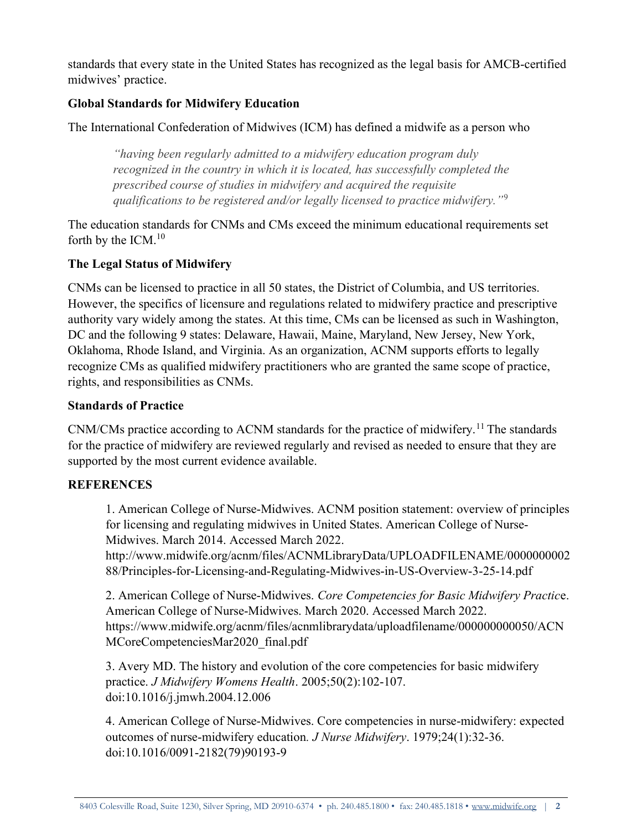standards that every state in the United States has recognized as the legal basis for AMCB-certified midwives' practice.

# Global Standards for Midwifery Education

The International Confederation of Midwives (ICM) has defined a midwife as a person who

"having been regularly admitted to a midwifery education program duly recognized in the country in which it is located, has successfully completed the prescribed course of studies in midwifery and acquired the requisite qualifications to be registered and/or legally licensed to practice midwifery.<sup>"9</sup>

The education standards for CNMs and CMs exceed the minimum educational requirements set forth by the ICM. $10$ 

## The Legal Status of Midwifery

CNMs can be licensed to practice in all 50 states, the District of Columbia, and US territories. However, the specifics of licensure and regulations related to midwifery practice and prescriptive authority vary widely among the states. At this time, CMs can be licensed as such in Washington, DC and the following 9 states: Delaware, Hawaii, Maine, Maryland, New Jersey, New York, Oklahoma, Rhode Island, and Virginia. As an organization, ACNM supports efforts to legally recognize CMs as qualified midwifery practitioners who are granted the same scope of practice, rights, and responsibilities as CNMs.

#### Standards of Practice

CNM/CMs practice according to ACNM standards for the practice of midwifery.<sup>11</sup> The standards for the practice of midwifery are reviewed regularly and revised as needed to ensure that they are supported by the most current evidence available.

#### **REFERENCES**

1. American College of Nurse-Midwives. ACNM position statement: overview of principles for licensing and regulating midwives in United States. American College of Nurse-Midwives. March 2014. Accessed March 2022.

http://www.midwife.org/acnm/files/ACNMLibraryData/UPLOADFILENAME/0000000002 88/Principles-for-Licensing-and-Regulating-Midwives-in-US-Overview-3-25-14.pdf

2. American College of Nurse-Midwives. Core Competencies for Basic Midwifery Practice. American College of Nurse-Midwives. March 2020. Accessed March 2022. https://www.midwife.org/acnm/files/acnmlibrarydata/uploadfilename/000000000050/ACN MCoreCompetenciesMar2020\_final.pdf

3. Avery MD. The history and evolution of the core competencies for basic midwifery practice. J Midwifery Womens Health. 2005;50(2):102-107. doi:10.1016/j.jmwh.2004.12.006

4. American College of Nurse-Midwives. Core competencies in nurse-midwifery: expected outcomes of nurse-midwifery education. J Nurse Midwifery. 1979;24(1):32-36. doi:10.1016/0091-2182(79)90193-9